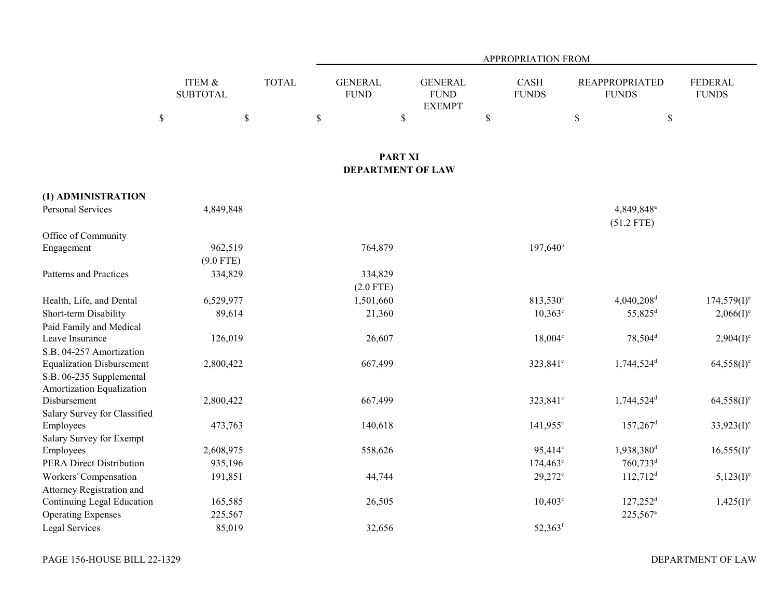|                                                       |                                      |              | APPROPRIATION FROM            |                                                |                             |                                        |                                |  |  |  |  |
|-------------------------------------------------------|--------------------------------------|--------------|-------------------------------|------------------------------------------------|-----------------------------|----------------------------------------|--------------------------------|--|--|--|--|
|                                                       | <b>ITEM &amp;</b><br><b>SUBTOTAL</b> | <b>TOTAL</b> | <b>GENERAL</b><br><b>FUND</b> | <b>GENERAL</b><br><b>FUND</b><br><b>EXEMPT</b> | <b>CASH</b><br><b>FUNDS</b> | <b>REAPPROPRIATED</b><br><b>FUNDS</b>  | <b>FEDERAL</b><br><b>FUNDS</b> |  |  |  |  |
|                                                       | $\mathbb S$<br>\$                    |              | $\$$                          | $\mathbb{S}$                                   | \$                          | $\mathbb{S}$                           | \$                             |  |  |  |  |
|                                                       |                                      |              |                               | <b>PART XI</b>                                 |                             |                                        |                                |  |  |  |  |
|                                                       |                                      |              |                               | <b>DEPARTMENT OF LAW</b>                       |                             |                                        |                                |  |  |  |  |
| (1) ADMINISTRATION                                    |                                      |              |                               |                                                |                             |                                        |                                |  |  |  |  |
| Personal Services                                     | 4,849,848                            |              |                               |                                                |                             | 4,849,848 <sup>a</sup><br>$(51.2$ FTE) |                                |  |  |  |  |
| Office of Community                                   |                                      |              |                               |                                                |                             |                                        |                                |  |  |  |  |
| Engagement                                            | 962,519                              |              | 764,879                       |                                                | $197,640^{\rm b}$           |                                        |                                |  |  |  |  |
|                                                       | $(9.0$ FTE)                          |              |                               |                                                |                             |                                        |                                |  |  |  |  |
| <b>Patterns and Practices</b>                         | 334,829                              |              | 334,829                       |                                                |                             |                                        |                                |  |  |  |  |
|                                                       |                                      |              | $(2.0$ FTE)                   |                                                |                             |                                        |                                |  |  |  |  |
| Health, Life, and Dental                              | 6,529,977                            |              | 1,501,660                     |                                                | 813,530 <sup>c</sup>        | 4,040,208 <sup>d</sup>                 | $174,579(I)^e$                 |  |  |  |  |
| Short-term Disability                                 | 89,614                               |              | 21,360                        |                                                | $10,363^{\circ}$            | 55,825 <sup>d</sup>                    | $2,066(1)^e$                   |  |  |  |  |
| Paid Family and Medical                               |                                      |              |                               |                                                |                             |                                        |                                |  |  |  |  |
| Leave Insurance                                       | 126,019                              |              | 26,607                        |                                                | $18,004^{\circ}$            | 78,504 <sup>d</sup>                    | $2,904(I)^e$                   |  |  |  |  |
| S.B. 04-257 Amortization                              |                                      |              |                               |                                                |                             |                                        |                                |  |  |  |  |
| <b>Equalization Disbursement</b>                      | 2,800,422                            |              | 667,499                       |                                                | 323,841 <sup>c</sup>        | 1,744,524 <sup>d</sup>                 | $64,558(1)$ <sup>e</sup>       |  |  |  |  |
| S.B. 06-235 Supplemental<br>Amortization Equalization |                                      |              |                               |                                                |                             |                                        |                                |  |  |  |  |
| Disbursement                                          | 2,800,422                            |              | 667,499                       |                                                | 323,841 <sup>c</sup>        | 1,744,524 <sup>d</sup>                 | $64,558(1)$ <sup>e</sup>       |  |  |  |  |
| Salary Survey for Classified                          |                                      |              |                               |                                                |                             |                                        |                                |  |  |  |  |
| Employees                                             | 473,763                              |              | 140,618                       |                                                | $141,955$ <sup>c</sup>      | $157,267$ <sup>d</sup>                 | $33,923(I)^e$                  |  |  |  |  |
| Salary Survey for Exempt                              |                                      |              |                               |                                                |                             |                                        |                                |  |  |  |  |
| Employees                                             | 2,608,975                            |              | 558,626                       |                                                | 95,414 <sup>c</sup>         | 1,938,380 <sup>d</sup>                 | $16,555(I)^e$                  |  |  |  |  |
| <b>PERA Direct Distribution</b>                       | 935,196                              |              |                               |                                                | $174,463^{\circ}$           | 760,733 <sup>d</sup>                   |                                |  |  |  |  |
| Workers' Compensation                                 | 191,851                              |              | 44,744                        |                                                | 29,272 <sup>c</sup>         | $112,712$ <sup>d</sup>                 | $5,123(I)^e$                   |  |  |  |  |
| Attorney Registration and                             |                                      |              |                               |                                                |                             |                                        |                                |  |  |  |  |
| Continuing Legal Education                            | 165,585                              |              | 26,505                        |                                                | $10,403^{\circ}$            | $127,252$ <sup>d</sup>                 | $1,425(I)^e$                   |  |  |  |  |
| <b>Operating Expenses</b>                             | 225,567                              |              |                               |                                                |                             | 225,567 <sup>a</sup>                   |                                |  |  |  |  |
| Legal Services                                        | 85,019                               |              | 32,656                        |                                                | 52,363 <sup>f</sup>         |                                        |                                |  |  |  |  |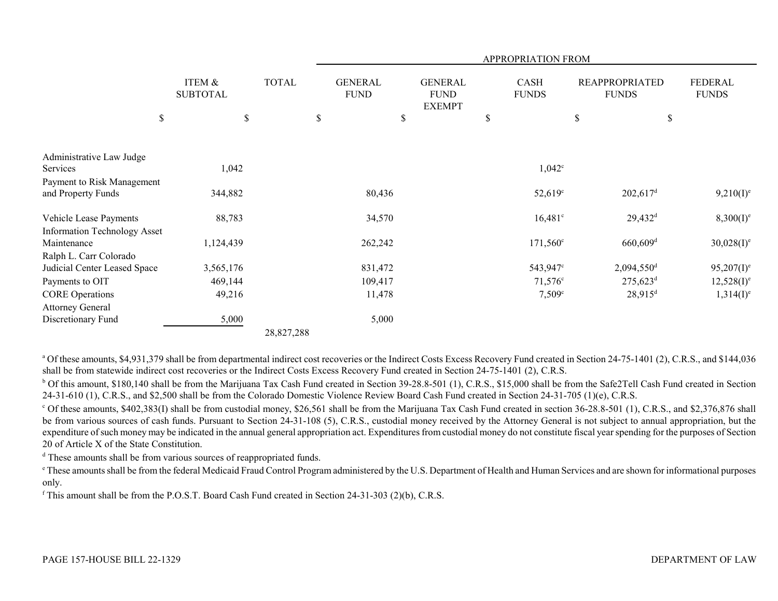|                                                               |                                      |              |                               |                                                | APPROPRIATION FROM          |                                       |                          |
|---------------------------------------------------------------|--------------------------------------|--------------|-------------------------------|------------------------------------------------|-----------------------------|---------------------------------------|--------------------------|
|                                                               | <b>ITEM &amp;</b><br><b>SUBTOTAL</b> | <b>TOTAL</b> | <b>GENERAL</b><br><b>FUND</b> | <b>GENERAL</b><br><b>FUND</b><br><b>EXEMPT</b> | <b>CASH</b><br><b>FUNDS</b> | <b>REAPPROPRIATED</b><br><b>FUNDS</b> | FEDERAL<br><b>FUNDS</b>  |
| \$                                                            | \$                                   |              | \$                            | \$                                             | \$                          | $\$$                                  | \$                       |
| Administrative Law Judge                                      |                                      |              |                               |                                                |                             |                                       |                          |
| Services                                                      | 1,042                                |              |                               |                                                | $1,042^{\circ}$             |                                       |                          |
| Payment to Risk Management<br>and Property Funds              | 344,882                              |              | 80,436                        |                                                | $52,619^{\circ}$            | $202,617$ <sup>d</sup>                | $9,210(I)^e$             |
| Vehicle Lease Payments<br><b>Information Technology Asset</b> | 88,783                               |              | 34,570                        |                                                | $16,481^{\circ}$            | $29,432^d$                            | $8,300(I)^e$             |
| Maintenance                                                   | 1,124,439                            |              | 262,242                       |                                                | $171,560^{\circ}$           | $660,609$ <sup>d</sup>                | $30,028(I)^e$            |
| Ralph L. Carr Colorado                                        |                                      |              |                               |                                                |                             |                                       |                          |
| Judicial Center Leased Space                                  | 3,565,176                            |              | 831,472                       |                                                | 543,947°                    | $2,094,550$ <sup>d</sup>              | $95,207(1)$ <sup>e</sup> |
| Payments to OIT                                               | 469,144                              |              | 109,417                       |                                                | $71,576$ °                  | $275,623$ <sup>d</sup>                | $12,528(1)^e$            |
| <b>CORE Operations</b>                                        | 49,216                               |              | 11,478                        |                                                | $7,509^{\circ}$             | $28,915^d$                            | $1,314(I)^e$             |
| <b>Attorney General</b><br>Discretionary Fund                 | 5,000                                |              | 5,000                         |                                                |                             |                                       |                          |
|                                                               |                                      | 28,827,288   |                               |                                                |                             |                                       |                          |

<sup>a</sup> Of these amounts, \$4,931,379 shall be from departmental indirect cost recoveries or the Indirect Costs Excess Recovery Fund created in Section 24-75-1401 (2), C.R.S., and \$144,036 shall be from statewide indirect cost recoveries or the Indirect Costs Excess Recovery Fund created in Section 24-75-1401 (2), C.R.S.

<sup>b</sup> Of this amount, \$180,140 shall be from the Marijuana Tax Cash Fund created in Section 39-28.8-501 (1), C.R.S., \$15,000 shall be from the Safe2Tell Cash Fund created in Section 24-31-610 (1), C.R.S., and \$2,500 shall be from the Colorado Domestic Violence Review Board Cash Fund created in Section 24-31-705 (1)(e), C.R.S.

<sup>c</sup> Of these amounts, \$402,383(I) shall be from custodial money, \$26,561 shall be from the Marijuana Tax Cash Fund created in section 36-28.8-501 (1), C.R.S., and \$2,376,876 shall be from various sources of cash funds. Pursuant to Section 24-31-108 (5), C.R.S., custodial money received by the Attorney General is not subject to annual appropriation, but the expenditure of such money may be indicated in the annual general appropriation act. Expenditures from custodial money do not constitute fiscal year spending for the purposes of Section 20 of Article X of the State Constitution.

<sup>d</sup> These amounts shall be from various sources of reappropriated funds.

e These amounts shall be from the federal Medicaid Fraud Control Program administered by the U.S. Department of Health and Human Services and are shown for informational purposes only.

f This amount shall be from the P.O.S.T. Board Cash Fund created in Section 24-31-303 (2)(b), C.R.S.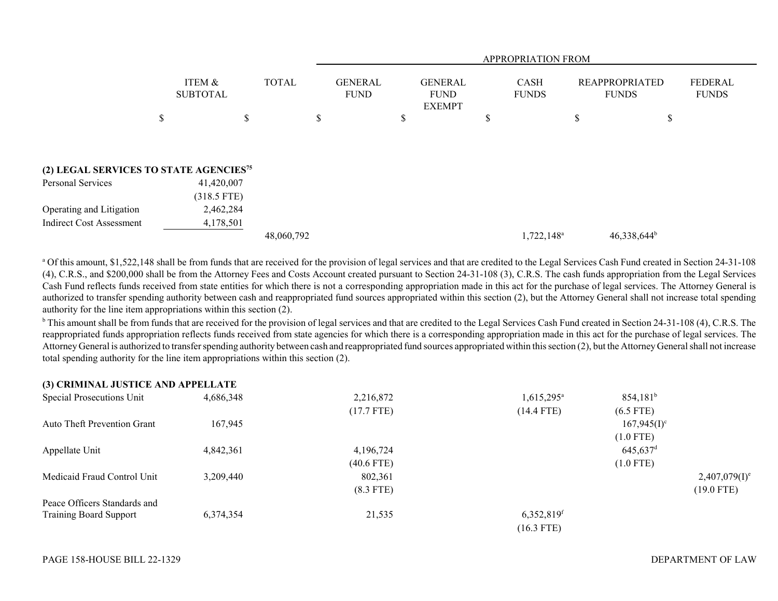|                                                    |                           |              |                               | APPROPRIATION FROM |   |                                                |              |                        |   |                                       |                                |  |
|----------------------------------------------------|---------------------------|--------------|-------------------------------|--------------------|---|------------------------------------------------|--------------|------------------------|---|---------------------------------------|--------------------------------|--|
|                                                    | ITEM &<br><b>SUBTOTAL</b> | <b>TOTAL</b> | <b>GENERAL</b><br><b>FUND</b> |                    |   | <b>GENERAL</b><br><b>FUND</b><br><b>EXEMPT</b> | <b>FUNDS</b> |                        |   | <b>REAPPROPRIATED</b><br><b>FUNDS</b> | <b>FEDERAL</b><br><b>FUNDS</b> |  |
|                                                    | \$                        | \$           | \$                            |                    | D |                                                | J            |                        | ъ | J.                                    |                                |  |
|                                                    |                           |              |                               |                    |   |                                                |              |                        |   |                                       |                                |  |
| (2) LEGAL SERVICES TO STATE AGENCIES <sup>75</sup> |                           |              |                               |                    |   |                                                |              |                        |   |                                       |                                |  |
| Personal Services                                  | 41,420,007                |              |                               |                    |   |                                                |              |                        |   |                                       |                                |  |
|                                                    | $(318.5$ FTE)             |              |                               |                    |   |                                                |              |                        |   |                                       |                                |  |
| Operating and Litigation                           | 2,462,284                 |              |                               |                    |   |                                                |              |                        |   |                                       |                                |  |
| <b>Indirect Cost Assessment</b>                    | 4,178,501                 |              |                               |                    |   |                                                |              |                        |   |                                       |                                |  |
|                                                    |                           | 48,060,792   |                               |                    |   |                                                |              | 1,722,148 <sup>a</sup> |   | $46,338,644^b$                        |                                |  |

<sup>a</sup> Of this amount, \$1,522,148 shall be from funds that are received for the provision of legal services and that are credited to the Legal Services Cash Fund created in Section 24-31-108 (4), C.R.S., and \$200,000 shall be from the Attorney Fees and Costs Account created pursuant to Section 24-31-108 (3), C.R.S. The cash funds appropriation from the Legal Services Cash Fund reflects funds received from state entities for which there is not a corresponding appropriation made in this act for the purchase of legal services. The Attorney General is authorized to transfer spending authority between cash and reappropriated fund sources appropriated within this section (2), but the Attorney General shall not increase total spending authority for the line item appropriations within this section (2).

<sup>b</sup> This amount shall be from funds that are received for the provision of legal services and that are credited to the Legal Services Cash Fund created in Section 24-31-108 (4), C.R.S. The reappropriated funds appropriation reflects funds received from state agencies for which there is a corresponding appropriation made in this act for the purchase of legal services. The Attorney General is authorized to transfer spending authority between cash and reappropriated fund sources appropriated within this section (2), but the Attorney General shall not increase total spending authority for the line item appropriations within this section (2).

## **(3) CRIMINAL JUSTICE AND APPELLATE**

| Special Prosecutions Unit          | 4,686,348 | 2,216,872    | $1,615,295^{\circ}$    | $854,181^b$            |                             |
|------------------------------------|-----------|--------------|------------------------|------------------------|-----------------------------|
|                                    |           | (17.7 FTE)   | $(14.4$ FTE)           | $(6.5$ FTE)            |                             |
| <b>Auto Theft Prevention Grant</b> | 167,945   |              |                        | $167,945(I)^c$         |                             |
|                                    |           |              |                        | $(1.0$ FTE)            |                             |
| Appellate Unit                     | 4,842,361 | 4,196,724    |                        | $645,637$ <sup>d</sup> |                             |
|                                    |           | $(40.6$ FTE) |                        | $(1.0$ FTE)            |                             |
| Medicaid Fraud Control Unit        | 3,209,440 | 802,361      |                        |                        | $2,407,079(1)$ <sup>e</sup> |
|                                    |           | $(8.3$ FTE)  |                        |                        | $(19.0$ FTE)                |
| Peace Officers Standards and       |           |              |                        |                        |                             |
| <b>Training Board Support</b>      | 6,374,354 | 21,535       | 6,352,819 <sup>f</sup> |                        |                             |
|                                    |           |              | $(16.3$ FTE)           |                        |                             |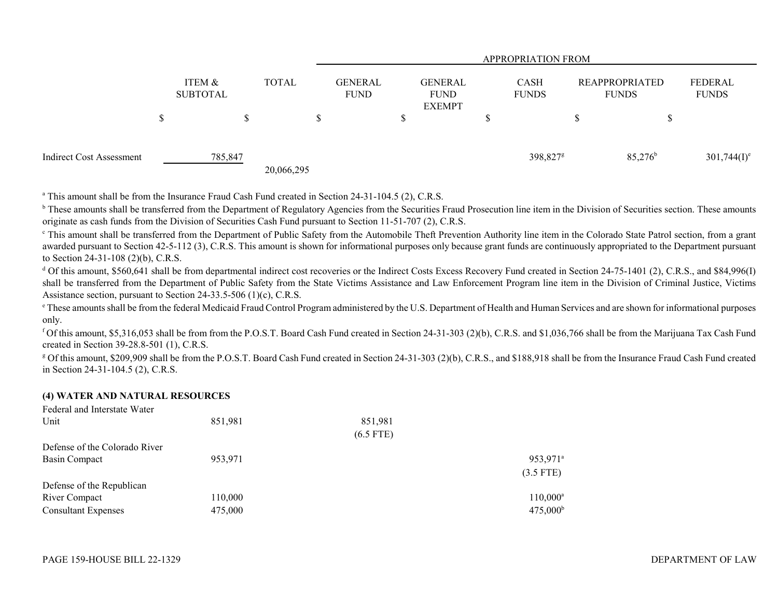|                          |   |                           |              | <b>APPROPRIATION FROM</b> |                               |  |                                                |   |                             |  |                                       |                         |
|--------------------------|---|---------------------------|--------------|---------------------------|-------------------------------|--|------------------------------------------------|---|-----------------------------|--|---------------------------------------|-------------------------|
|                          |   | ITEM &<br><b>SUBTOTAL</b> | <b>TOTAL</b> |                           | <b>GENERAL</b><br><b>FUND</b> |  | <b>GENERAL</b><br><b>FUND</b><br><b>EXEMPT</b> |   | <b>CASH</b><br><b>FUNDS</b> |  | <b>REAPPROPRIATED</b><br><b>FUNDS</b> | FEDERAL<br><b>FUNDS</b> |
|                          | Φ |                           | S            |                           |                               |  |                                                | D |                             |  | Φ                                     |                         |
| Indirect Cost Assessment |   | 785,847                   | 20,066,295   |                           |                               |  |                                                |   | 398,827 <sup>g</sup>        |  | $85,276^{\rm b}$                      | $301,744(I)^e$          |

<sup>a</sup> This amount shall be from the Insurance Fraud Cash Fund created in Section 24-31-104.5 (2), C.R.S.

<sup>b</sup> These amounts shall be transferred from the Department of Regulatory Agencies from the Securities Fraud Prosecution line item in the Division of Securities section. These amounts originate as cash funds from the Division of Securities Cash Fund pursuant to Section 11-51-707 (2), C.R.S.

<sup>c</sup> This amount shall be transferred from the Department of Public Safety from the Automobile Theft Prevention Authority line item in the Colorado State Patrol section, from a grant awarded pursuant to Section 42-5-112 (3), C.R.S. This amount is shown for informational purposes only because grant funds are continuously appropriated to the Department pursuant to Section 24-31-108 (2)(b), C.R.S.

<sup>d</sup> Of this amount, \$560,641 shall be from departmental indirect cost recoveries or the Indirect Costs Excess Recovery Fund created in Section 24-75-1401 (2), C.R.S., and \$84,996(I) shall be transferred from the Department of Public Safety from the State Victims Assistance and Law Enforcement Program line item in the Division of Criminal Justice, Victims Assistance section, pursuant to Section 24-33.5-506 (1)(c), C.R.S.

e These amounts shall be from the federal Medicaid Fraud Control Program administered by the U.S. Department of Health and Human Services and are shown for informational purposes only.

f Of this amount, \$5,316,053 shall be from from the P.O.S.T. Board Cash Fund created in Section 24-31-303 (2)(b), C.R.S. and \$1,036,766 shall be from the Marijuana Tax Cash Fund created in Section 39-28.8-501 (1), C.R.S.

<sup>g</sup> Of this amount, \$209,909 shall be from the P.O.S.T. Board Cash Fund created in Section 24-31-303 (2)(b), C.R.S., and \$188,918 shall be from the Insurance Fraud Cash Fund created in Section 24-31-104.5 (2), C.R.S.

## **(4) WATER AND NATURAL RESOURCES**

| Federal and Interstate Water  |         |             |                      |
|-------------------------------|---------|-------------|----------------------|
| Unit                          | 851,981 | 851,981     |                      |
|                               |         | $(6.5$ FTE) |                      |
| Defense of the Colorado River |         |             |                      |
| Basin Compact                 | 953,971 |             | 953,971 <sup>a</sup> |
|                               |         |             | $(3.5$ FTE)          |
| Defense of the Republican     |         |             |                      |
| River Compact                 | 110,000 |             | $110,000^{\rm a}$    |
| <b>Consultant Expenses</b>    | 475,000 |             | $475,000^{\rm b}$    |
|                               |         |             |                      |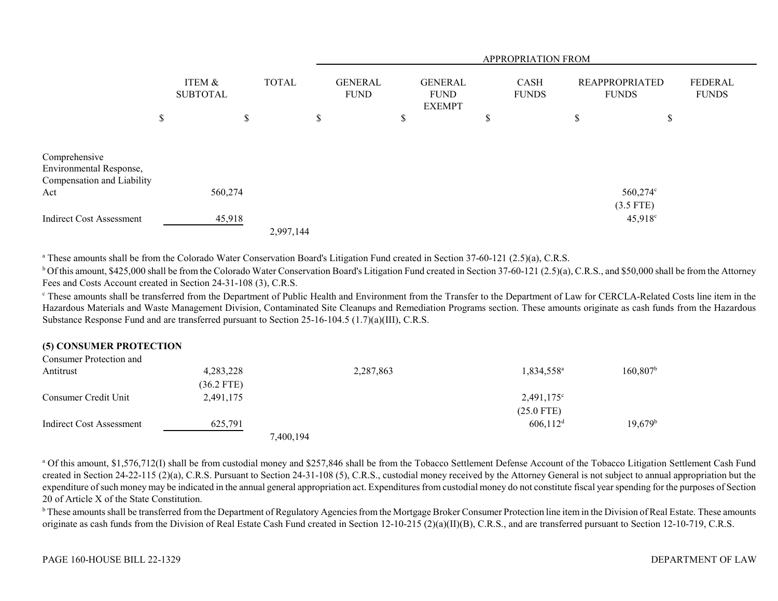|                                                                               |                           |              | APPROPRIATION FROM            |  |                                                |  |                             |  |                                       |                                 |                                |
|-------------------------------------------------------------------------------|---------------------------|--------------|-------------------------------|--|------------------------------------------------|--|-----------------------------|--|---------------------------------------|---------------------------------|--------------------------------|
|                                                                               | ITEM &<br><b>SUBTOTAL</b> | <b>TOTAL</b> | <b>GENERAL</b><br><b>FUND</b> |  | <b>GENERAL</b><br><b>FUND</b><br><b>EXEMPT</b> |  | <b>CASH</b><br><b>FUNDS</b> |  | <b>REAPPROPRIATED</b><br><b>FUNDS</b> |                                 | <b>FEDERAL</b><br><b>FUNDS</b> |
|                                                                               | \$                        | \$           | \$                            |  | P                                              |  | D                           |  | \$                                    |                                 | \$                             |
| Comprehensive<br>Environmental Response,<br>Compensation and Liability<br>Act | 560,274                   |              |                               |  |                                                |  |                             |  |                                       | 560,274°                        |                                |
| <b>Indirect Cost Assessment</b>                                               | 45,918                    | 2,997,144    |                               |  |                                                |  |                             |  |                                       | $(3.5$ FTE)<br>$45,918^{\circ}$ |                                |

<sup>a</sup> These amounts shall be from the Colorado Water Conservation Board's Litigation Fund created in Section 37-60-121 (2.5)(a), C.R.S.

 $^{\rm b}$  Of this amount, \$425,000 shall be from the Colorado Water Conservation Board's Litigation Fund created in Section 37-60-121 (2.5)(a), C.R.S., and \$50,000 shall be from the Attorney Fees and Costs Account created in Section 24-31-108 (3), C.R.S.

<sup>e</sup> These amounts shall be transferred from the Department of Public Health and Environment from the Transfer to the Department of Law for CERCLA-Related Costs line item in the Hazardous Materials and Waste Management Division, Contaminated Site Cleanups and Remediation Programs section. These amounts originate as cash funds from the Hazardous Substance Response Fund and are transferred pursuant to Section 25-16-104.5 (1.7)(a)(III), C.R.S.

## **(5) CONSUMER PROTECTION**

| Consumer Protection and  |              |           |           |                        |                   |
|--------------------------|--------------|-----------|-----------|------------------------|-------------------|
| Antitrust                | 4,283,228    |           | 2,287,863 | 1,834,558 <sup>a</sup> | $160,807^{\rm b}$ |
|                          | $(36.2$ FTE) |           |           |                        |                   |
| Consumer Credit Unit     | 2,491,175    |           |           | $2,491,175$ °          |                   |
|                          |              |           |           | $(25.0$ FTE)           |                   |
| Indirect Cost Assessment | 625,791      |           |           | $606,112^d$            | $19,679^{\rm b}$  |
|                          |              | 7,400,194 |           |                        |                   |

<sup>a</sup> Of this amount, \$1,576,712(I) shall be from custodial money and \$257,846 shall be from the Tobacco Settlement Defense Account of the Tobacco Litigation Settlement Cash Fund created in Section 24-22-115 (2)(a), C.R.S. Pursuant to Section 24-31-108 (5), C.R.S., custodial money received by the Attorney General is not subject to annual appropriation but the expenditure of such money may be indicated in the annual general appropriation act. Expenditures from custodial money do not constitute fiscal year spending for the purposes of Section 20 of Article X of the State Constitution.

<sup>b</sup> These amounts shall be transferred from the Department of Regulatory Agencies from the Mortgage Broker Consumer Protection line item in the Division of Real Estate. These amounts originate as cash funds from the Division of Real Estate Cash Fund created in Section 12-10-215 (2)(a)(II)(B), C.R.S., and are transferred pursuant to Section 12-10-719, C.R.S.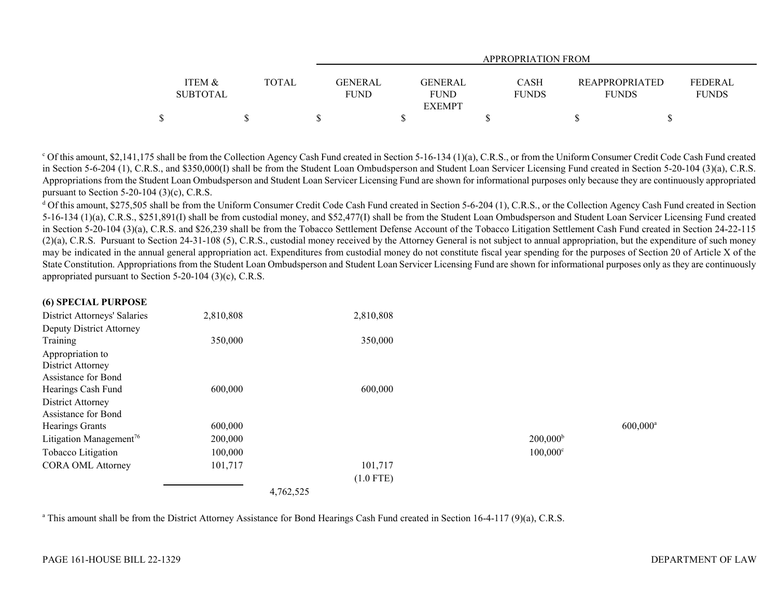|                 |              | <b>APPROPRIATION FROM</b>  |              |                       |              |  |  |  |  |
|-----------------|--------------|----------------------------|--------------|-----------------------|--------------|--|--|--|--|
|                 |              |                            |              |                       |              |  |  |  |  |
| ITEM &          | <b>TOTAL</b> | <b>GENERAL</b><br>GENERAL  | <b>CASH</b>  | <b>REAPPROPRIATED</b> | FEDERAL      |  |  |  |  |
| <b>SUBTOTAL</b> |              | <b>FUND</b><br><b>FUND</b> | <b>FUNDS</b> | <b>FUNDS</b>          | <b>FUNDS</b> |  |  |  |  |
|                 |              | <b>EXEMPT</b>              |              |                       |              |  |  |  |  |
|                 |              |                            |              |                       |              |  |  |  |  |

 $\degree$  Of this amount, \$2,141,175 shall be from the Collection Agency Cash Fund created in Section 5-16-134 (1)(a), C.R.S., or from the Uniform Consumer Credit Code Cash Fund created in Section 5-6-204 (1), C.R.S., and \$350,000(I) shall be from the Student Loan Ombudsperson and Student Loan Servicer Licensing Fund created in Section 5-20-104 (3)(a), C.R.S. Appropriations from the Student Loan Ombudsperson and Student Loan Servicer Licensing Fund are shown for informational purposes only because they are continuously appropriated pursuant to Section 5-20-104 (3)(c), C.R.S.

<sup>d</sup> Of this amount, \$275,505 shall be from the Uniform Consumer Credit Code Cash Fund created in Section 5-6-204 (1), C.R.S., or the Collection Agency Cash Fund created in Section 5-16-134 (1)(a), C.R.S., \$251,891(I) shall be from custodial money, and \$52,477(I) shall be from the Student Loan Ombudsperson and Student Loan Servicer Licensing Fund created in Section 5-20-104 (3)(a), C.R.S. and \$26,239 shall be from the Tobacco Settlement Defense Account of the Tobacco Litigation Settlement Cash Fund created in Section 24-22-115 (2)(a), C.R.S. Pursuant to Section 24-31-108 (5), C.R.S., custodial money received by the Attorney General is not subject to annual appropriation, but the expenditure of such money may be indicated in the annual general appropriation act. Expenditures from custodial money do not constitute fiscal year spending for the purposes of Section 20 of Article X of the State Constitution. Appropriations from the Student Loan Ombudsperson and Student Loan Servicer Licensing Fund are shown for informational purposes only as they are continuously appropriated pursuant to Section 5-20-104 (3)(c), C.R.S.

| (6) SPECIAL PURPOSE                 |           |             |                   |                        |
|-------------------------------------|-----------|-------------|-------------------|------------------------|
| District Attorneys' Salaries        | 2,810,808 | 2,810,808   |                   |                        |
| Deputy District Attorney            |           |             |                   |                        |
| Training                            | 350,000   | 350,000     |                   |                        |
| Appropriation to                    |           |             |                   |                        |
| District Attorney                   |           |             |                   |                        |
| Assistance for Bond                 |           |             |                   |                        |
| Hearings Cash Fund                  | 600,000   | 600,000     |                   |                        |
| District Attorney                   |           |             |                   |                        |
| Assistance for Bond                 |           |             |                   |                        |
| Hearings Grants                     | 600,000   |             |                   | $600,000$ <sup>a</sup> |
| Litigation Management <sup>76</sup> | 200,000   |             | $200,000^{\rm b}$ |                        |
| Tobacco Litigation                  | 100,000   |             | $100,000^{\circ}$ |                        |
| <b>CORA OML Attorney</b>            | 101,717   | 101,717     |                   |                        |
|                                     |           | $(1.0$ FTE) |                   |                        |
|                                     | 4,762,525 |             |                   |                        |

<sup>a</sup> This amount shall be from the District Attorney Assistance for Bond Hearings Cash Fund created in Section 16-4-117 (9)(a), C.R.S.